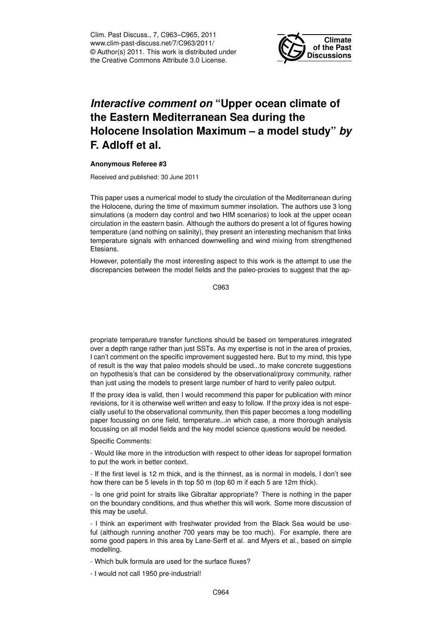Clim. Past Discuss., 7, C963–C965, 2011 www.clim-past-discuss.net/7/C963/2011/ © Author(s) 2011. This work is distributed under the Creative Commons Attribute 3.0 License.



## *Interactive comment on* **"Upper ocean climate of the Eastern Mediterranean Sea during the Holocene Insolation Maximum – a model study"** *by* **F. Adloff et al.**

## **Anonymous Referee #3**

Received and published: 30 June 2011

This paper uses a numerical model to study the circulation of the Mediterranean during the Holocene, during the time of maximum summer insolation. The authors use 3 long simulations (a modern day control and two HIM scenarios) to look at the upper ocean circulation in the eastern basin. Although the authors do present a lot of figures howing temperature (and nothing on salinity), they present an interesting mechanism that links temperature signals with enhanced downwelling and wind mixing from strengthened Etesians.

However, potentially the most interesting aspect to this work is the attempt to use the discrepancies between the model fields and the paleo-proxies to suggest that the ap-

C963

propriate temperature transfer functions should be based on temperatures integrated over a depth range rather than just SSTs. As my expertise is not in the area of proxies, I can't comment on the specific improvement suggested here. But to my mind, this type of result is the way that paleo models should be used...to make concrete suggestions on hypothesis's that can be considered by the observational/proxy community, rather than just using the models to present large number of hard to verify paleo output.

If the proxy idea is valid, then I would recommend this paper for publication with minor revisions, for it is otherwise well written and easy to follow. If the proxy idea is not especially useful to the observational community, then this paper becomes a long modelling paper focussing on one field, temperature...in which case, a more thorough analysis focussing on all model fields and the key model science questions would be needed.

Specific Comments:

- Would like more in the introduction with respect to other ideas for sapropel formation to put the work in better context.

- If the first level is 12 m thick, and is the thinnest, as is normal in models, I don't see how there can be 5 levels in th top 50 m (top 60 m if each 5 are 12m thick).

- Is one grid point for straits like Gibraltar appropriate? There is nothing in the paper on the boundary conditions, and thus whether this will work. Some more discussion of this may be useful.

- I think an experiment with freshwater provided from the Black Sea would be useful (although running another 700 years may be too much). For example, there are some good papers in this area by Lane-Serff et al. and Myers et al., based on simple modelling.

- Which bulk formula are used for the surface fluxes?

- I would not call 1950 pre-industrial!